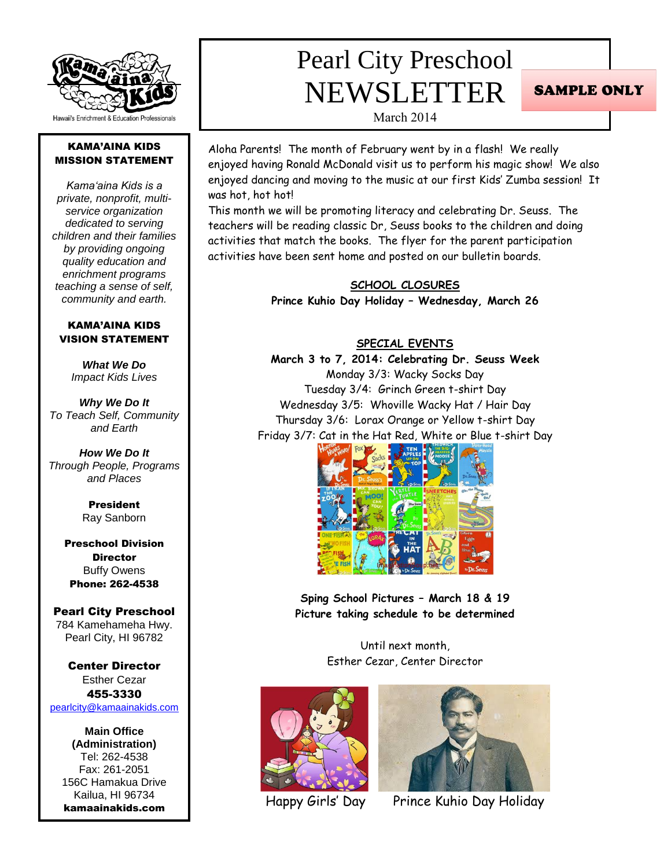

### KAMA'AINA KIDS MISSION STATEMENT

*Kama'aina Kids is a private, nonprofit, multiservice organization dedicated to serving children and their families by providing ongoing quality education and enrichment programs teaching a sense of self, community and earth.*

### KAMA'AINA KIDS VISION STATEMENT

*What We Do Impact Kids Lives*

*Why We Do It To Teach Self, Community and Earth*

*How We Do It Through People, Programs and Places*

> President Ray Sanborn

Preschool Division **Director** Buffy Owens Phone: 262-4538

#### Pearl City Preschool 784 Kamehameha Hwy. Pearl City, HI 96782

Center Director Esther Cezar 455-3330 [pearlcity@kamaainakids.com](mailto:pearlcity@kamaainakids.com)

**Main Office (Administration)** Tel: 262-4538 Fax: 261-2051 156C Hamakua Drive Kailua, HI 96734 kamaainakids.com

## Pearl City Preschool NEWSLETTER

**SAMPLE ONLY** 

March 2014

Aloha Parents! The month of February went by in a flash! We really enjoyed having Ronald McDonald visit us to perform his magic show! We also enjoyed dancing and moving to the music at our first Kids' Zumba session! It was hot, hot hot!

This month we will be promoting literacy and celebrating Dr. Seuss. The teachers will be reading classic Dr, Seuss books to the children and doing activities that match the books. The flyer for the parent participation activities have been sent home and posted on our bulletin boards.

> **SCHOOL CLOSURES Prince Kuhio Day Holiday – Wednesday, March 26**

### **SPECIAL EVENTS**

**March 3 to 7, 2014: Celebrating Dr. Seuss Week** Monday 3/3: Wacky Socks Day Tuesday 3/4: Grinch Green t-shirt Day Wednesday 3/5: Whoville Wacky Hat / Hair Day Thursday 3/6: Lorax Orange or Yellow t-shirt Day Friday 3/7: Cat in the Hat Red, White or Blue t-shirt Day



**Sping School Pictures – March 18 & 19 Picture taking schedule to be determined**

> Until next month, Esther Cezar, Center Director







Happy Girls' Day Prince Kuhio Day Holiday